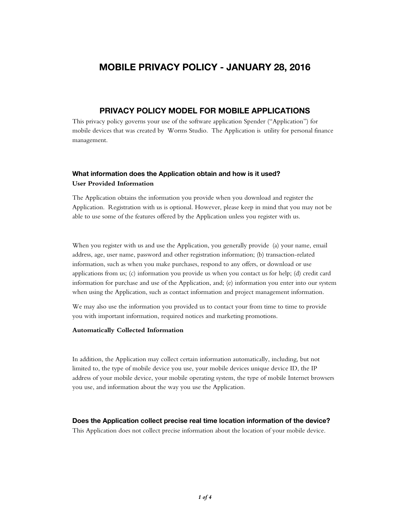# MOBILE PRIVACY POLICY - JANUARY 28, 2016

# PRIVACY POLICY MODEL FOR MOBILE APPLICATIONS

This privacy policy governs your use of the software application Spender ("Application") for mobile devices that was created by Worms Studio. The Application is utility for personal finance management.

# What information does the Application obtain and how is it used? User Provided Information

The Application obtains the information you provide when you download and register the Application. Registration with us is optional. However, please keep in mind that you may not be able to use some of the features offered by the Application unless you register with us.

When you register with us and use the Application, you generally provide (a) your name, email address, age, user name, password and other registration information; (b) transaction-related information, such as when you make purchases, respond to any offers, or download or use applications from us; (c) information you provide us when you contact us for help; (d) credit card information for purchase and use of the Application, and; (e) information you enter into our system when using the Application, such as contact information and project management information.

We may also use the information you provided us to contact your from time to time to provide you with important information, required notices and marketing promotions.

### Automatically Collected Information

In addition, the Application may collect certain information automatically, including, but not limited to, the type of mobile device you use, your mobile devices unique device ID, the IP address of your mobile device, your mobile operating system, the type of mobile Internet browsers you use, and information about the way you use the Application.

#### Does the Application collect precise real time location information of the device?

This Application does not collect precise information about the location of your mobile device.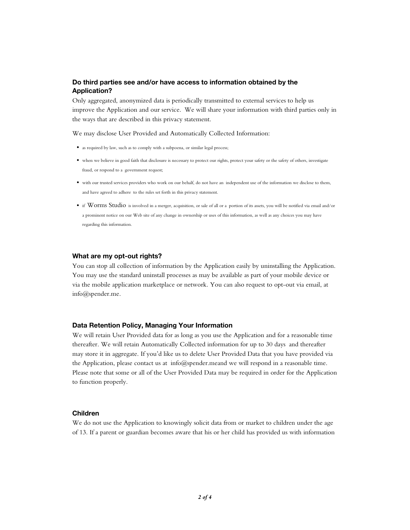# Do third parties see and/or have access to information obtained by the Application?

Only aggregated, anonymized data is periodically transmitted to external services to help us improve the Application and our service. We will share your information with third parties only in the ways that are described in this privacy statement.

We may disclose User Provided and Automatically Collected Information:

- as required by law, such as to comply with a subpoena, or similar legal process;
- when we believe in good faith that disclosure is necessary to protect our rights, protect your safety or the safety of others, investigate fraud, or respond to a government request;
- with our trusted services providers who work on our behalf, do not have an independent use of the information we disclose to them, and have agreed to adhere to the rules set forth in this privacy statement.
- if Worms Studio is involved in a merger, acquisition, or sale of all or a portion of its assets, you will be notified via email and/or a prominent notice on our Web site of any change in ownership or uses of this information, as well as any choices you may have regarding this information.

#### What are my opt-out rights?

You can stop all collection of information by the Application easily by uninstalling the Application. You may use the standard uninstall processes as may be available as part of your mobile device or via the mobile application marketplace or network. You can also request to opt-out via email, at info@spender.me.

## Data Retention Policy, Managing Your Information

We will retain User Provided data for as long as you use the Application and for a reasonable time thereafter. We will retain Automatically Collected information for up to 30 days and thereafter may store it in aggregate. If you'd like us to delete User Provided Data that you have provided via the Application, please contact us at info@spender.meand we will respond in a reasonable time. Please note that some or all of the User Provided Data may be required in order for the Application to function properly.

#### Children

We do not use the Application to knowingly solicit data from or market to children under the age of 13. If a parent or guardian becomes aware that his or her child has provided us with information